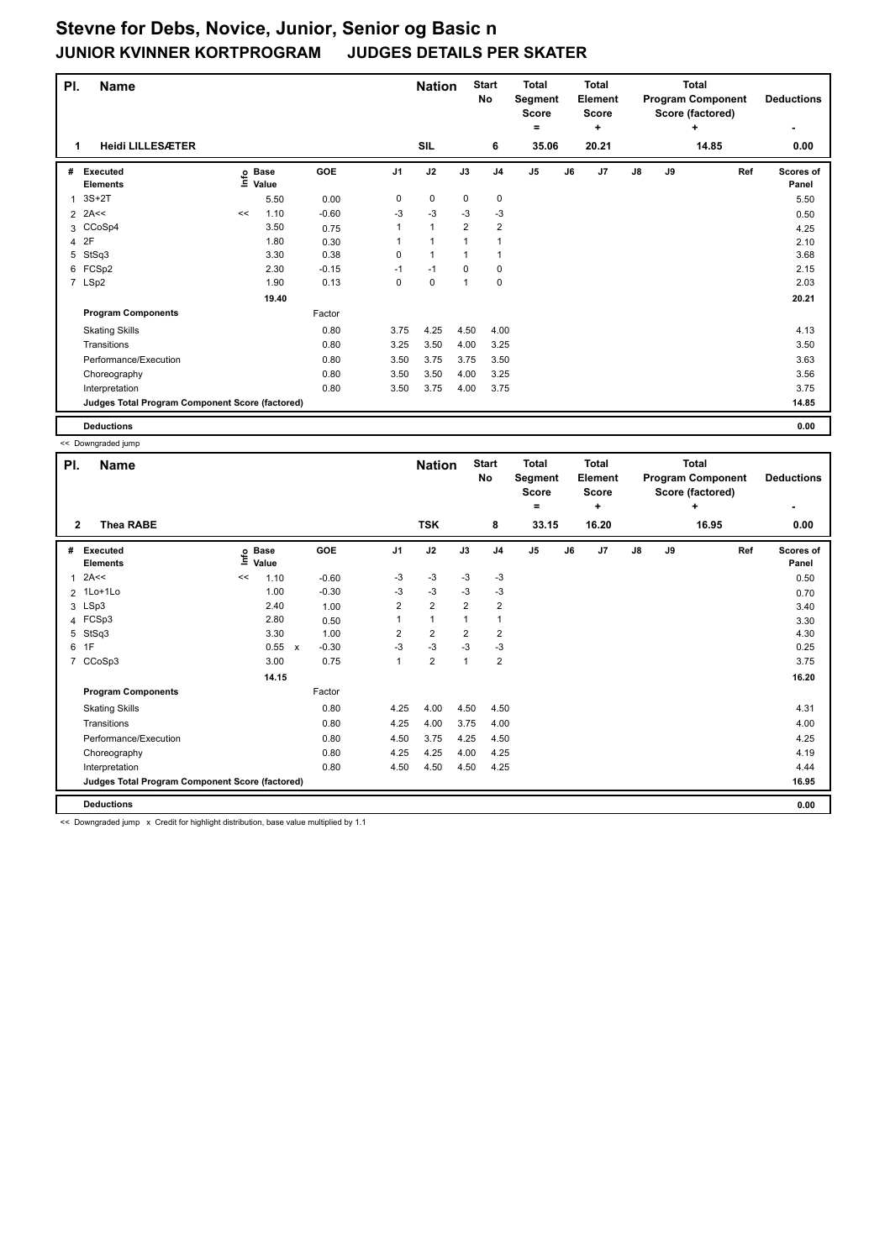| PI.            | <b>Name</b>                                     |    |                   |         |                | <b>Nation</b> |                | <b>Start</b><br>No | <b>Total</b><br>Segment<br>Score<br>٠ |    | <b>Total</b><br>Element<br><b>Score</b><br>÷ |               |    | <b>Total</b><br><b>Program Component</b><br>Score (factored)<br>÷ | <b>Deductions</b>         |
|----------------|-------------------------------------------------|----|-------------------|---------|----------------|---------------|----------------|--------------------|---------------------------------------|----|----------------------------------------------|---------------|----|-------------------------------------------------------------------|---------------------------|
| 1              | <b>Heidi LILLESÆTER</b>                         |    |                   |         |                | <b>SIL</b>    |                | 6                  | 35.06                                 |    | 20.21                                        |               |    | 14.85                                                             | 0.00                      |
| #              | <b>Executed</b><br><b>Elements</b>              |    | e Base<br>⊆ Value | GOE     | J <sub>1</sub> | J2            | J3             | J <sub>4</sub>     | J5                                    | J6 | J <sub>7</sub>                               | $\mathsf{J}8$ | J9 | Ref                                                               | <b>Scores of</b><br>Panel |
| $\overline{1}$ | $3S+2T$                                         |    | 5.50              | 0.00    | 0              | 0             | 0              | 0                  |                                       |    |                                              |               |    |                                                                   | 5.50                      |
|                | $2$ 2A<<                                        | << | 1.10              | $-0.60$ | -3             | $-3$          | -3             | -3                 |                                       |    |                                              |               |    |                                                                   | 0.50                      |
|                | 3 CCoSp4                                        |    | 3.50              | 0.75    |                | $\mathbf{1}$  | $\overline{2}$ | $\overline{2}$     |                                       |    |                                              |               |    |                                                                   | 4.25                      |
|                | 4 2F                                            |    | 1.80              | 0.30    |                | $\mathbf{1}$  |                | $\overline{1}$     |                                       |    |                                              |               |    |                                                                   | 2.10                      |
| 5              | StSq3                                           |    | 3.30              | 0.38    | 0              | $\mathbf{1}$  |                | $\overline{1}$     |                                       |    |                                              |               |    |                                                                   | 3.68                      |
|                | 6 FCSp2                                         |    | 2.30              | $-0.15$ | $-1$           | $-1$          | 0              | 0                  |                                       |    |                                              |               |    |                                                                   | 2.15                      |
|                | 7 LSp2                                          |    | 1.90              | 0.13    | 0              | 0             | 1              | 0                  |                                       |    |                                              |               |    |                                                                   | 2.03                      |
|                |                                                 |    | 19.40             |         |                |               |                |                    |                                       |    |                                              |               |    |                                                                   | 20.21                     |
|                | <b>Program Components</b>                       |    |                   | Factor  |                |               |                |                    |                                       |    |                                              |               |    |                                                                   |                           |
|                | <b>Skating Skills</b>                           |    |                   | 0.80    | 3.75           | 4.25          | 4.50           | 4.00               |                                       |    |                                              |               |    |                                                                   | 4.13                      |
|                | Transitions                                     |    |                   | 0.80    | 3.25           | 3.50          | 4.00           | 3.25               |                                       |    |                                              |               |    |                                                                   | 3.50                      |
|                | Performance/Execution                           |    |                   | 0.80    | 3.50           | 3.75          | 3.75           | 3.50               |                                       |    |                                              |               |    |                                                                   | 3.63                      |
|                | Choreography                                    |    |                   | 0.80    | 3.50           | 3.50          | 4.00           | 3.25               |                                       |    |                                              |               |    |                                                                   | 3.56                      |
|                | Interpretation                                  |    |                   | 0.80    | 3.50           | 3.75          | 4.00           | 3.75               |                                       |    |                                              |               |    |                                                                   | 3.75                      |
|                | Judges Total Program Component Score (factored) |    |                   |         |                |               |                |                    |                                       |    |                                              |               |    |                                                                   | 14.85                     |
|                | <b>Deductions</b>                               |    |                   |         |                |               |                |                    |                                       |    |                                              |               |    |                                                                   | 0.00                      |

|                | << Downgraded jump                              |      |                      |                           |         |                |                |                |                           |                                              |    |                                |               |    |                                                                   |     |                    |
|----------------|-------------------------------------------------|------|----------------------|---------------------------|---------|----------------|----------------|----------------|---------------------------|----------------------------------------------|----|--------------------------------|---------------|----|-------------------------------------------------------------------|-----|--------------------|
| PI.            | <b>Name</b>                                     |      |                      |                           |         |                | <b>Nation</b>  |                | <b>Start</b><br><b>No</b> | <b>Total</b><br>Segment<br><b>Score</b><br>= |    | Total<br>Element<br>Score<br>٠ |               |    | <b>Total</b><br><b>Program Component</b><br>Score (factored)<br>÷ |     | <b>Deductions</b>  |
| $\mathbf{2}$   | <b>Thea RABE</b>                                |      |                      |                           |         |                | <b>TSK</b>     |                | 8                         | 33.15                                        |    | 16.20                          |               |    | 16.95                                                             |     | 0.00               |
| #              | Executed<br><b>Elements</b>                     | ١nfo | <b>Base</b><br>Value |                           | GOE     | J <sub>1</sub> | J2             | J3             | J <sub>4</sub>            | J <sub>5</sub>                               | J6 | J7                             | $\mathsf{J}8$ | J9 |                                                                   | Ref | Scores of<br>Panel |
| 1              | 2A<<                                            | <<   | 1.10                 |                           | $-0.60$ | $-3$           | $-3$           | $-3$           | $-3$                      |                                              |    |                                |               |    |                                                                   |     | 0.50               |
|                | 2 1Lo+1Lo                                       |      | 1.00                 |                           | $-0.30$ | $-3$           | $-3$           | $-3$           | $-3$                      |                                              |    |                                |               |    |                                                                   |     | 0.70               |
|                | 3 LSp3                                          |      | 2.40                 |                           | 1.00    | 2              | $\overline{2}$ | $\overline{2}$ | $\overline{2}$            |                                              |    |                                |               |    |                                                                   |     | 3.40               |
|                | 4 FCSp3                                         |      | 2.80                 |                           | 0.50    | $\mathbf{1}$   | $\mathbf{1}$   | 1              | $\mathbf{1}$              |                                              |    |                                |               |    |                                                                   |     | 3.30               |
| 5              | StSq3                                           |      | 3.30                 |                           | 1.00    | 2              | $\overline{2}$ | $\overline{2}$ | $\overline{2}$            |                                              |    |                                |               |    |                                                                   |     | 4.30               |
| 6              | 1F                                              |      | 0.55                 | $\boldsymbol{\mathsf{x}}$ | $-0.30$ | $-3$           | $-3$           | $-3$           | $-3$                      |                                              |    |                                |               |    |                                                                   |     | 0.25               |
| $\overline{7}$ | CCoSp3                                          |      | 3.00                 |                           | 0.75    | 1              | $\overline{2}$ | 1              | $\overline{2}$            |                                              |    |                                |               |    |                                                                   |     | 3.75               |
|                |                                                 |      | 14.15                |                           |         |                |                |                |                           |                                              |    |                                |               |    |                                                                   |     | 16.20              |
|                | <b>Program Components</b>                       |      |                      |                           | Factor  |                |                |                |                           |                                              |    |                                |               |    |                                                                   |     |                    |
|                | <b>Skating Skills</b>                           |      |                      |                           | 0.80    | 4.25           | 4.00           | 4.50           | 4.50                      |                                              |    |                                |               |    |                                                                   |     | 4.31               |
|                | Transitions                                     |      |                      |                           | 0.80    | 4.25           | 4.00           | 3.75           | 4.00                      |                                              |    |                                |               |    |                                                                   |     | 4.00               |
|                | Performance/Execution                           |      |                      |                           | 0.80    | 4.50           | 3.75           | 4.25           | 4.50                      |                                              |    |                                |               |    |                                                                   |     | 4.25               |
|                | Choreography                                    |      |                      |                           | 0.80    | 4.25           | 4.25           | 4.00           | 4.25                      |                                              |    |                                |               |    |                                                                   |     | 4.19               |
|                | Interpretation                                  |      |                      |                           | 0.80    | 4.50           | 4.50           | 4.50           | 4.25                      |                                              |    |                                |               |    |                                                                   |     | 4.44               |
|                | Judges Total Program Component Score (factored) |      |                      |                           |         |                |                |                |                           |                                              |    |                                |               |    |                                                                   |     | 16.95              |
|                | <b>Deductions</b>                               |      |                      |                           |         |                |                |                |                           |                                              |    |                                |               |    |                                                                   |     | 0.00               |

<< Downgraded jump x Credit for highlight distribution, base value multiplied by 1.1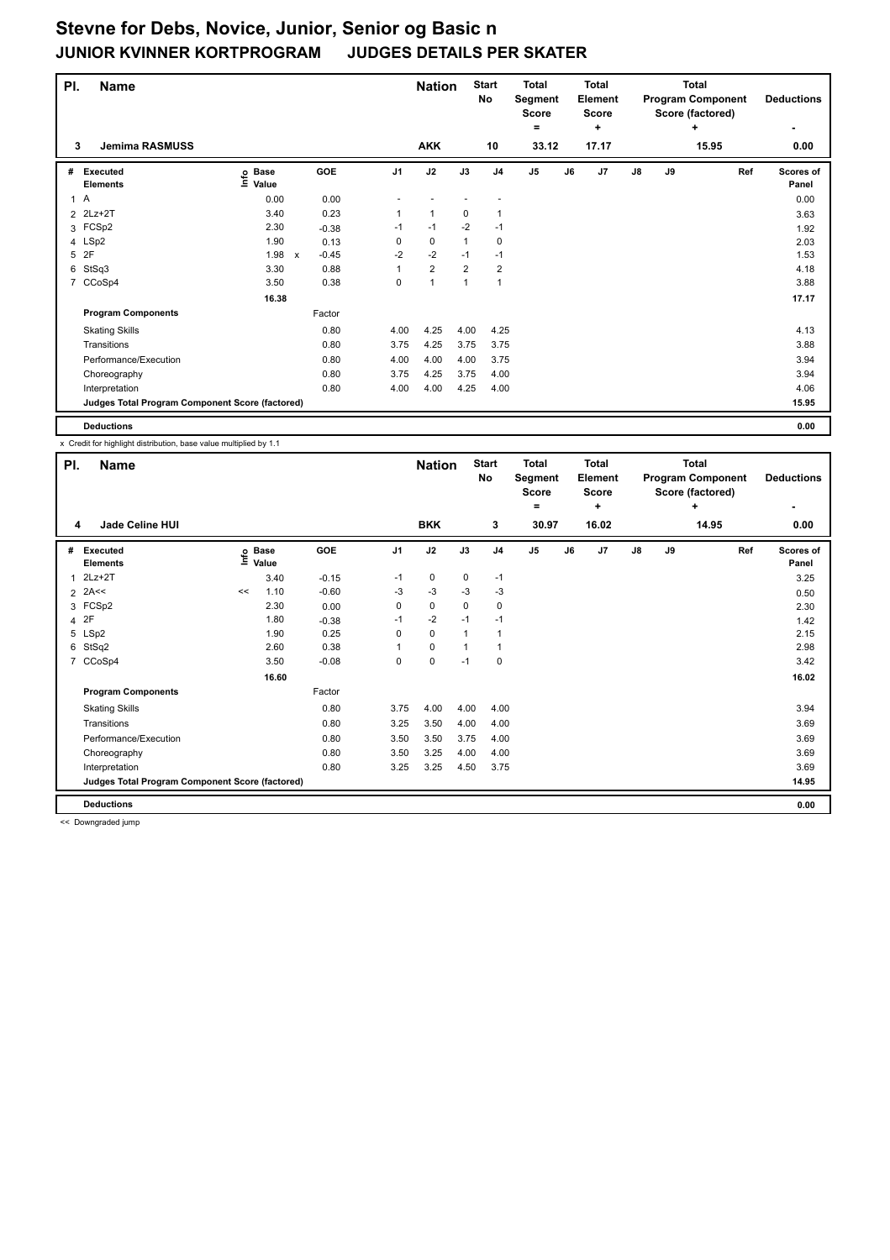| PI. | <b>Name</b>                                     |                            |                                      |                | <b>Nation</b>  |                | <b>Start</b><br>No | <b>Total</b><br>Segment<br><b>Score</b><br>٠ |    | Total<br>Element<br><b>Score</b><br>٠ |    |    | <b>Total</b><br><b>Program Component</b><br>Score (factored)<br>٠ | <b>Deductions</b>         |
|-----|-------------------------------------------------|----------------------------|--------------------------------------|----------------|----------------|----------------|--------------------|----------------------------------------------|----|---------------------------------------|----|----|-------------------------------------------------------------------|---------------------------|
| 3   | <b>Jemima RASMUSS</b>                           |                            |                                      |                | <b>AKK</b>     |                | 10                 | 33.12                                        |    | 17.17                                 |    |    | 15.95                                                             | 0.00                      |
| #   | <b>Executed</b><br><b>Elements</b>              | e Base<br>E Value<br>Value | GOE                                  | J <sub>1</sub> | J2             | J3             | J <sub>4</sub>     | J5                                           | J6 | J <sub>7</sub>                        | J8 | J9 | Ref                                                               | <b>Scores of</b><br>Panel |
|     | 1A                                              | 0.00                       | 0.00                                 |                |                |                |                    |                                              |    |                                       |    |    |                                                                   | 0.00                      |
|     | 2 2Lz+2T                                        | 3.40                       | 0.23                                 |                | 1              | 0              |                    |                                              |    |                                       |    |    |                                                                   | 3.63                      |
|     | 3 FCSp2                                         | 2.30                       | $-0.38$                              | $-1$           | $-1$           | $-2$           | $-1$               |                                              |    |                                       |    |    |                                                                   | 1.92                      |
|     | 4 LSp2                                          | 1.90                       | 0.13                                 | 0              | $\mathbf 0$    | 1              | 0                  |                                              |    |                                       |    |    |                                                                   | 2.03                      |
| 5   | 2F                                              | 1.98                       | $-0.45$<br>$\boldsymbol{\mathsf{x}}$ | $-2$           | $-2$           | $-1$           | $-1$               |                                              |    |                                       |    |    |                                                                   | 1.53                      |
| 6   | StSq3                                           | 3.30                       | 0.88                                 |                | $\overline{2}$ | $\overline{2}$ | $\overline{2}$     |                                              |    |                                       |    |    |                                                                   | 4.18                      |
|     | 7 CCoSp4                                        | 3.50                       | 0.38                                 | 0              | $\mathbf{1}$   | 1              | $\mathbf{1}$       |                                              |    |                                       |    |    |                                                                   | 3.88                      |
|     |                                                 | 16.38                      |                                      |                |                |                |                    |                                              |    |                                       |    |    |                                                                   | 17.17                     |
|     | <b>Program Components</b>                       |                            | Factor                               |                |                |                |                    |                                              |    |                                       |    |    |                                                                   |                           |
|     | <b>Skating Skills</b>                           |                            | 0.80                                 | 4.00           | 4.25           | 4.00           | 4.25               |                                              |    |                                       |    |    |                                                                   | 4.13                      |
|     | Transitions                                     |                            | 0.80                                 | 3.75           | 4.25           | 3.75           | 3.75               |                                              |    |                                       |    |    |                                                                   | 3.88                      |
|     | Performance/Execution                           |                            | 0.80                                 | 4.00           | 4.00           | 4.00           | 3.75               |                                              |    |                                       |    |    |                                                                   | 3.94                      |
|     | Choreography                                    |                            | 0.80                                 | 3.75           | 4.25           | 3.75           | 4.00               |                                              |    |                                       |    |    |                                                                   | 3.94                      |
|     | Interpretation                                  |                            | 0.80                                 | 4.00           | 4.00           | 4.25           | 4.00               |                                              |    |                                       |    |    |                                                                   | 4.06                      |
|     | Judges Total Program Component Score (factored) |                            |                                      |                |                |                |                    |                                              |    |                                       |    |    |                                                                   | 15.95                     |

**Deductions 0.00**

x Credit for highlight distribution, base value multiplied by 1.1

| PI.            | <b>Name</b>                                     |      |                      |         |                | <b>Nation</b> |              | <b>Start</b><br>No | <b>Total</b><br>Segment<br><b>Score</b><br>۰ |    | <b>Total</b><br>Element<br>Score<br>٠ |    |    | <b>Total</b><br><b>Program Component</b><br>Score (factored)<br>٠ | <b>Deductions</b>  |
|----------------|-------------------------------------------------|------|----------------------|---------|----------------|---------------|--------------|--------------------|----------------------------------------------|----|---------------------------------------|----|----|-------------------------------------------------------------------|--------------------|
| 4              | <b>Jade Celine HUI</b>                          |      |                      |         |                | <b>BKK</b>    |              | 3                  | 30.97                                        |    | 16.02                                 |    |    | 14.95                                                             | 0.00               |
| #              | <b>Executed</b><br><b>Elements</b>              | lnfo | <b>Base</b><br>Value | GOE     | J <sub>1</sub> | J2            | J3           | J <sub>4</sub>     | J <sub>5</sub>                               | J6 | J7                                    | J8 | J9 | Ref                                                               | Scores of<br>Panel |
| 1              | $2Lz+2T$                                        |      | 3.40                 | $-0.15$ | -1             | $\mathbf 0$   | 0            | $-1$               |                                              |    |                                       |    |    |                                                                   | 3.25               |
| $\overline{2}$ | 2A<<                                            | <<   | 1.10                 | $-0.60$ | -3             | $-3$          | $-3$         | $-3$               |                                              |    |                                       |    |    |                                                                   | 0.50               |
|                | 3 FCSp2                                         |      | 2.30                 | 0.00    | 0              | $\mathbf 0$   | 0            | 0                  |                                              |    |                                       |    |    |                                                                   | 2.30               |
|                | 4 2F                                            |      | 1.80                 | $-0.38$ | $-1$           | $-2$          | $-1$         | $-1$               |                                              |    |                                       |    |    |                                                                   | 1.42               |
| 5              | LSp2                                            |      | 1.90                 | 0.25    | 0              | $\mathbf 0$   | $\mathbf{1}$ | 1                  |                                              |    |                                       |    |    |                                                                   | 2.15               |
| 6              | StSq2                                           |      | 2.60                 | 0.38    |                | $\mathbf 0$   | 1            | 1                  |                                              |    |                                       |    |    |                                                                   | 2.98               |
|                | 7 CCoSp4                                        |      | 3.50                 | $-0.08$ | 0              | $\pmb{0}$     | $-1$         | 0                  |                                              |    |                                       |    |    |                                                                   | 3.42               |
|                |                                                 |      | 16.60                |         |                |               |              |                    |                                              |    |                                       |    |    |                                                                   | 16.02              |
|                | <b>Program Components</b>                       |      |                      | Factor  |                |               |              |                    |                                              |    |                                       |    |    |                                                                   |                    |
|                | <b>Skating Skills</b>                           |      |                      | 0.80    | 3.75           | 4.00          | 4.00         | 4.00               |                                              |    |                                       |    |    |                                                                   | 3.94               |
|                | Transitions                                     |      |                      | 0.80    | 3.25           | 3.50          | 4.00         | 4.00               |                                              |    |                                       |    |    |                                                                   | 3.69               |
|                | Performance/Execution                           |      |                      | 0.80    | 3.50           | 3.50          | 3.75         | 4.00               |                                              |    |                                       |    |    |                                                                   | 3.69               |
|                | Choreography                                    |      |                      | 0.80    | 3.50           | 3.25          | 4.00         | 4.00               |                                              |    |                                       |    |    |                                                                   | 3.69               |
|                | Interpretation                                  |      |                      | 0.80    | 3.25           | 3.25          | 4.50         | 3.75               |                                              |    |                                       |    |    |                                                                   | 3.69               |
|                | Judges Total Program Component Score (factored) |      |                      |         |                |               |              |                    |                                              |    |                                       |    |    |                                                                   | 14.95              |
|                | <b>Deductions</b>                               |      |                      |         |                |               |              |                    |                                              |    |                                       |    |    |                                                                   | 0.00               |

<< Downgraded jump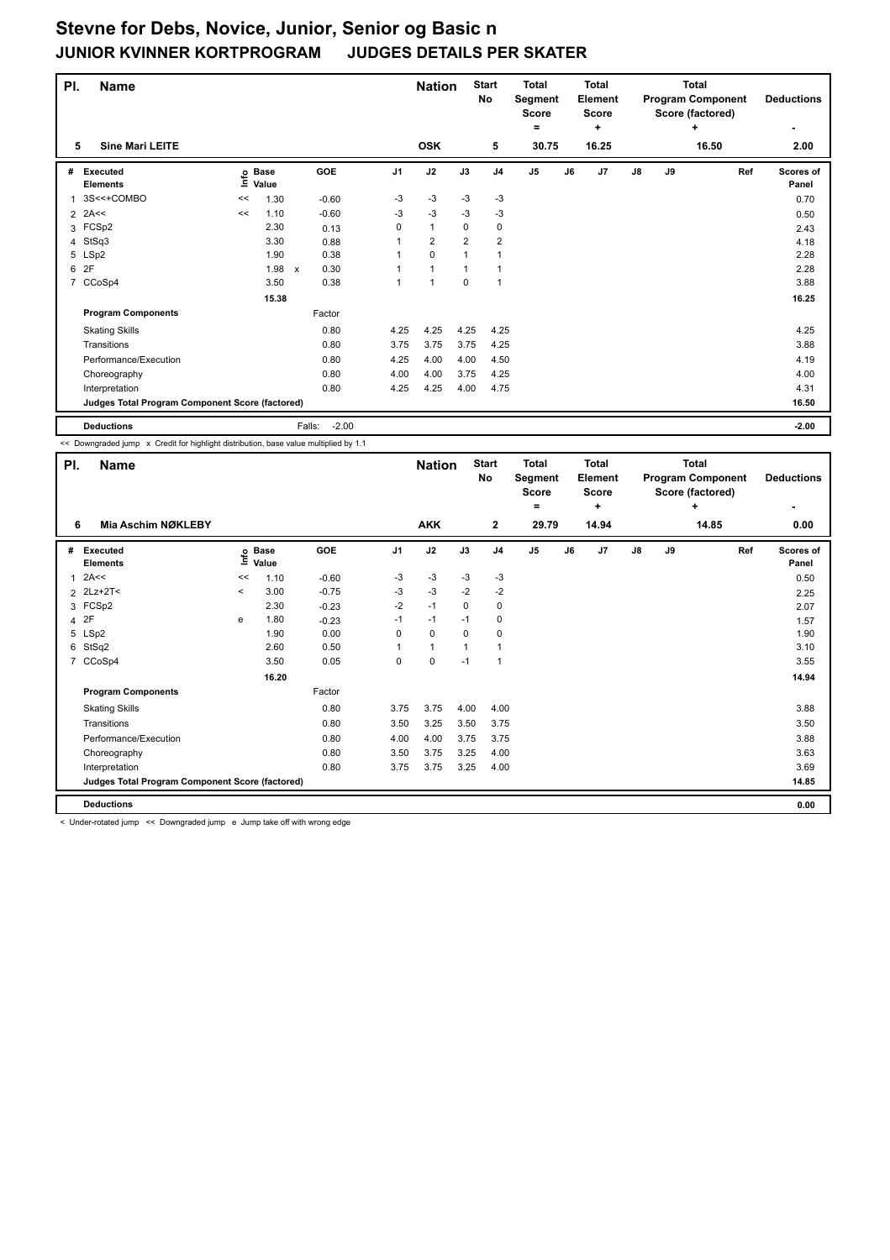| PI.            | <b>Name</b>                                     |    |                   |                      |                | <b>Nation</b>  |                | <b>Start</b><br>No | <b>Total</b><br>Segment<br>Score<br>٠ |    | <b>Total</b><br>Element<br><b>Score</b><br>÷ |               |    | <b>Total</b><br><b>Program Component</b><br>Score (factored)<br>÷ | <b>Deductions</b>         |
|----------------|-------------------------------------------------|----|-------------------|----------------------|----------------|----------------|----------------|--------------------|---------------------------------------|----|----------------------------------------------|---------------|----|-------------------------------------------------------------------|---------------------------|
| 5              | <b>Sine Mari LEITE</b>                          |    |                   |                      |                | <b>OSK</b>     |                | 5                  | 30.75                                 |    | 16.25                                        |               |    | 16.50                                                             | 2.00                      |
| #              | <b>Executed</b><br><b>Elements</b>              |    | e Base<br>⊆ Value | <b>GOE</b>           | J <sub>1</sub> | J2             | J3             | J <sub>4</sub>     | J5                                    | J6 | J <sub>7</sub>                               | $\mathsf{J}8$ | J9 | Ref                                                               | <b>Scores of</b><br>Panel |
|                | 3S<<+COMBO                                      | << | 1.30              | $-0.60$              | -3             | -3             | $-3$           | -3                 |                                       |    |                                              |               |    |                                                                   | 0.70                      |
|                | $2$ 2A<<                                        | << | 1.10              | $-0.60$              | -3             | $-3$           | -3             | -3                 |                                       |    |                                              |               |    |                                                                   | 0.50                      |
|                | 3 FCSp2                                         |    | 2.30              | 0.13                 | 0              | $\mathbf{1}$   | 0              | 0                  |                                       |    |                                              |               |    |                                                                   | 2.43                      |
|                | 4 StSq3                                         |    | 3.30              | 0.88                 |                | $\overline{2}$ | $\overline{2}$ | $\overline{2}$     |                                       |    |                                              |               |    |                                                                   | 4.18                      |
|                | 5 LSp2                                          |    | 1.90              | 0.38                 |                | $\mathbf 0$    |                | $\overline{1}$     |                                       |    |                                              |               |    |                                                                   | 2.28                      |
| 6              | 2F                                              |    | 1.98              | 0.30<br>$\mathsf{x}$ |                | $\mathbf{1}$   |                |                    |                                       |    |                                              |               |    |                                                                   | 2.28                      |
| $\overline{7}$ | CCoSp4                                          |    | 3.50              | 0.38                 |                | $\mathbf{1}$   | 0              | $\overline{1}$     |                                       |    |                                              |               |    |                                                                   | 3.88                      |
|                |                                                 |    | 15.38             |                      |                |                |                |                    |                                       |    |                                              |               |    |                                                                   | 16.25                     |
|                | <b>Program Components</b>                       |    |                   | Factor               |                |                |                |                    |                                       |    |                                              |               |    |                                                                   |                           |
|                | <b>Skating Skills</b>                           |    |                   | 0.80                 | 4.25           | 4.25           | 4.25           | 4.25               |                                       |    |                                              |               |    |                                                                   | 4.25                      |
|                | Transitions                                     |    |                   | 0.80                 | 3.75           | 3.75           | 3.75           | 4.25               |                                       |    |                                              |               |    |                                                                   | 3.88                      |
|                | Performance/Execution                           |    |                   | 0.80                 | 4.25           | 4.00           | 4.00           | 4.50               |                                       |    |                                              |               |    |                                                                   | 4.19                      |
|                | Choreography                                    |    |                   | 0.80                 | 4.00           | 4.00           | 3.75           | 4.25               |                                       |    |                                              |               |    |                                                                   | 4.00                      |
|                | Interpretation                                  |    |                   | 0.80                 | 4.25           | 4.25           | 4.00           | 4.75               |                                       |    |                                              |               |    |                                                                   | 4.31                      |
|                | Judges Total Program Component Score (factored) |    |                   |                      |                |                |                |                    |                                       |    |                                              |               |    |                                                                   | 16.50                     |
|                | <b>Deductions</b>                               |    |                   | $-2.00$<br>Falls:    |                |                |                |                    |                                       |    |                                              |               |    |                                                                   | $-2.00$                   |

<< Downgraded jump x Credit for highlight distribution, base value multiplied by 1.1

| PI.            | <b>Name</b>                                     |                           |                      |         |                | <b>Nation</b> |          | <b>Start</b><br>No | <b>Total</b><br>Segment<br><b>Score</b><br>۰ |    | <b>Total</b><br><b>Element</b><br>Score<br>÷ |               |    | <b>Total</b><br><b>Program Component</b><br>Score (factored)<br>٠ | <b>Deductions</b>  |
|----------------|-------------------------------------------------|---------------------------|----------------------|---------|----------------|---------------|----------|--------------------|----------------------------------------------|----|----------------------------------------------|---------------|----|-------------------------------------------------------------------|--------------------|
| 6              | <b>Mia Aschim NØKLEBY</b>                       |                           |                      |         |                | <b>AKK</b>    |          | $\mathbf{2}$       | 29.79                                        |    | 14.94                                        |               |    | 14.85                                                             | 0.00               |
| #              | <b>Executed</b><br><b>Elements</b>              | $\mathsf{Int} \mathsf{o}$ | <b>Base</b><br>Value | GOE     | J <sub>1</sub> | J2            | J3       | J <sub>4</sub>     | J <sub>5</sub>                               | J6 | J <sub>7</sub>                               | $\mathsf{J}8$ | J9 | Ref                                                               | Scores of<br>Panel |
| 1              | 2A<<                                            | <<                        | 1.10                 | $-0.60$ | -3             | $-3$          | $-3$     | $-3$               |                                              |    |                                              |               |    |                                                                   | 0.50               |
|                | 2 2Lz+2T<                                       | $\,<\,$                   | 3.00                 | $-0.75$ | $-3$           | $-3$          | $-2$     | $-2$               |                                              |    |                                              |               |    |                                                                   | 2.25               |
|                | 3 FCSp2                                         |                           | 2.30                 | $-0.23$ | $-2$           | $-1$          | $\Omega$ | 0                  |                                              |    |                                              |               |    |                                                                   | 2.07               |
| $\overline{4}$ | 2F                                              | e                         | 1.80                 | $-0.23$ | $-1$           | $-1$          | $-1$     | 0                  |                                              |    |                                              |               |    |                                                                   | 1.57               |
|                | 5 LSp2                                          |                           | 1.90                 | 0.00    | 0              | $\mathbf 0$   | 0        | 0                  |                                              |    |                                              |               |    |                                                                   | 1.90               |
| 6              | StSq2                                           |                           | 2.60                 | 0.50    | 1              | $\mathbf{1}$  | 1        | 1                  |                                              |    |                                              |               |    |                                                                   | 3.10               |
| $\overline{7}$ | CCoSp4                                          |                           | 3.50                 | 0.05    | 0              | $\mathbf 0$   | $-1$     | $\overline{1}$     |                                              |    |                                              |               |    |                                                                   | 3.55               |
|                |                                                 |                           | 16.20                |         |                |               |          |                    |                                              |    |                                              |               |    |                                                                   | 14.94              |
|                | <b>Program Components</b>                       |                           |                      | Factor  |                |               |          |                    |                                              |    |                                              |               |    |                                                                   |                    |
|                | <b>Skating Skills</b>                           |                           |                      | 0.80    | 3.75           | 3.75          | 4.00     | 4.00               |                                              |    |                                              |               |    |                                                                   | 3.88               |
|                | Transitions                                     |                           |                      | 0.80    | 3.50           | 3.25          | 3.50     | 3.75               |                                              |    |                                              |               |    |                                                                   | 3.50               |
|                | Performance/Execution                           |                           |                      | 0.80    | 4.00           | 4.00          | 3.75     | 3.75               |                                              |    |                                              |               |    |                                                                   | 3.88               |
|                | Choreography                                    |                           |                      | 0.80    | 3.50           | 3.75          | 3.25     | 4.00               |                                              |    |                                              |               |    |                                                                   | 3.63               |
|                | Interpretation                                  |                           |                      | 0.80    | 3.75           | 3.75          | 3.25     | 4.00               |                                              |    |                                              |               |    |                                                                   | 3.69               |
|                | Judges Total Program Component Score (factored) |                           |                      |         |                |               |          |                    |                                              |    |                                              |               |    |                                                                   | 14.85              |
|                | <b>Deductions</b>                               |                           |                      |         |                |               |          |                    |                                              |    |                                              |               |    |                                                                   | 0.00               |

< Under-rotated jump << Downgraded jump e Jump take off with wrong edge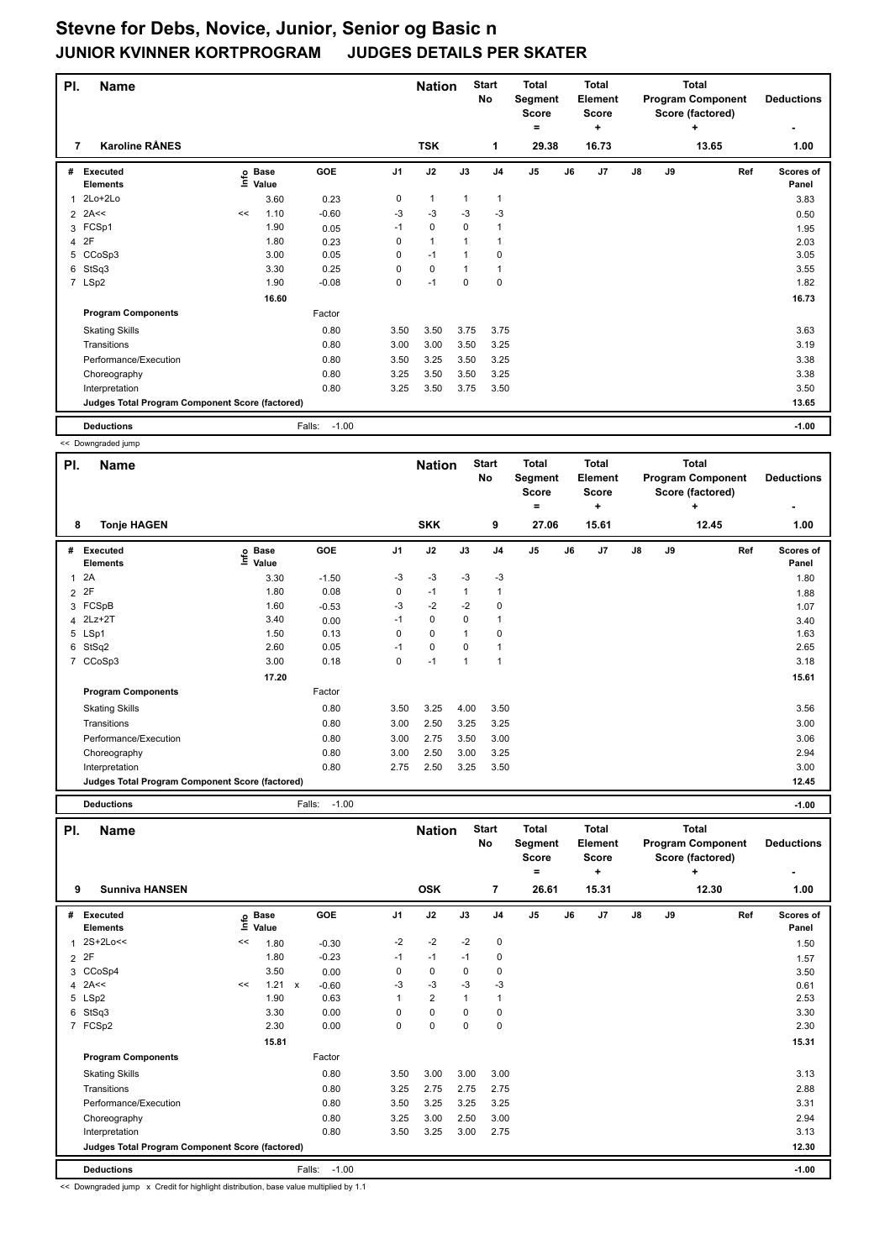| PI. | <b>Name</b>                                     |    |                                  |                   |                | <b>Nation</b> |      | <b>Start</b><br>No | <b>Total</b><br>Segment<br><b>Score</b><br>٠ |    | <b>Total</b><br>Element<br><b>Score</b><br>٠ |               |    | <b>Total</b><br><b>Program Component</b><br>Score (factored)<br>÷ | <b>Deductions</b>         |
|-----|-------------------------------------------------|----|----------------------------------|-------------------|----------------|---------------|------|--------------------|----------------------------------------------|----|----------------------------------------------|---------------|----|-------------------------------------------------------------------|---------------------------|
| 7   | <b>Karoline RÅNES</b>                           |    |                                  |                   |                | <b>TSK</b>    |      | 1                  | 29.38                                        |    | 16.73                                        |               |    | 13.65                                                             | 1.00                      |
| #   | <b>Executed</b><br><b>Elements</b>              |    | <b>Base</b><br>e Base<br>⊑ Value | <b>GOE</b>        | J <sub>1</sub> | J2            | J3   | J <sub>4</sub>     | J5                                           | J6 | J7                                           | $\mathsf{J}8$ | J9 | Ref                                                               | <b>Scores of</b><br>Panel |
|     | $2Lo+2Lo$                                       |    | 3.60                             | 0.23              | 0              | 1             | 1    | $\mathbf{1}$       |                                              |    |                                              |               |    |                                                                   | 3.83                      |
|     | $2$ 2A<<                                        | << | 1.10                             | $-0.60$           | -3             | -3            | -3   | -3                 |                                              |    |                                              |               |    |                                                                   | 0.50                      |
|     | 3 FCSp1                                         |    | 1.90                             | 0.05              | $-1$           | $\mathbf 0$   | 0    | $\overline{1}$     |                                              |    |                                              |               |    |                                                                   | 1.95                      |
|     | 4 2F                                            |    | 1.80                             | 0.23              | 0              | $\mathbf{1}$  |      |                    |                                              |    |                                              |               |    |                                                                   | 2.03                      |
| 5   | CCoSp3                                          |    | 3.00                             | 0.05              | 0              | $-1$          |      | 0                  |                                              |    |                                              |               |    |                                                                   | 3.05                      |
| 6   | StSq3                                           |    | 3.30                             | 0.25              | 0              | $\mathbf 0$   | 1    | $\mathbf{1}$       |                                              |    |                                              |               |    |                                                                   | 3.55                      |
|     | 7 LSp2                                          |    | 1.90                             | $-0.08$           | 0              | $-1$          | 0    | $\mathbf 0$        |                                              |    |                                              |               |    |                                                                   | 1.82                      |
|     |                                                 |    | 16.60                            |                   |                |               |      |                    |                                              |    |                                              |               |    |                                                                   | 16.73                     |
|     | <b>Program Components</b>                       |    |                                  | Factor            |                |               |      |                    |                                              |    |                                              |               |    |                                                                   |                           |
|     | <b>Skating Skills</b>                           |    |                                  | 0.80              | 3.50           | 3.50          | 3.75 | 3.75               |                                              |    |                                              |               |    |                                                                   | 3.63                      |
|     | Transitions                                     |    |                                  | 0.80              | 3.00           | 3.00          | 3.50 | 3.25               |                                              |    |                                              |               |    |                                                                   | 3.19                      |
|     | Performance/Execution                           |    |                                  | 0.80              | 3.50           | 3.25          | 3.50 | 3.25               |                                              |    |                                              |               |    |                                                                   | 3.38                      |
|     | Choreography                                    |    |                                  | 0.80              | 3.25           | 3.50          | 3.50 | 3.25               |                                              |    |                                              |               |    |                                                                   | 3.38                      |
|     | Interpretation                                  |    |                                  | 0.80              | 3.25           | 3.50          | 3.75 | 3.50               |                                              |    |                                              |               |    |                                                                   | 3.50                      |
|     | Judges Total Program Component Score (factored) |    |                                  |                   |                |               |      |                    |                                              |    |                                              |               |    |                                                                   | 13.65                     |
|     | <b>Deductions</b>                               |    |                                  | $-1.00$<br>Falls: |                |               |      |                    |                                              |    |                                              |               |    |                                                                   | $-1.00$                   |

<< Downgraded jump

|                | SS DOWNGROUGH                                   |                              |         |                |               |                |                           |                                         |    |                                         |               |    |                                                              |                    |
|----------------|-------------------------------------------------|------------------------------|---------|----------------|---------------|----------------|---------------------------|-----------------------------------------|----|-----------------------------------------|---------------|----|--------------------------------------------------------------|--------------------|
| PI.            | <b>Name</b>                                     |                              |         |                | <b>Nation</b> |                | <b>Start</b><br><b>No</b> | <b>Total</b><br>Segment<br><b>Score</b> |    | <b>Total</b><br>Element<br><b>Score</b> |               |    | <b>Total</b><br><b>Program Component</b><br>Score (factored) | <b>Deductions</b>  |
|                |                                                 |                              |         |                |               |                |                           | $=$                                     |    | ÷                                       |               |    | ٠                                                            |                    |
| 8              | <b>Tonje HAGEN</b>                              |                              |         |                | <b>SKK</b>    |                | 9                         | 27.06                                   |    | 15.61                                   |               |    | 12.45                                                        | 1.00               |
| #              | <b>Executed</b><br><b>Elements</b>              | <b>Base</b><br>١nfo<br>Value | GOE     | J <sub>1</sub> | J2            | J3             | J <sub>4</sub>            | J <sub>5</sub>                          | J6 | J <sub>7</sub>                          | $\mathsf{J}8$ | J9 | Ref                                                          | Scores of<br>Panel |
| $\overline{1}$ | 2A                                              | 3.30                         | $-1.50$ | $-3$           | $-3$          | $-3$           | $-3$                      |                                         |    |                                         |               |    |                                                              | 1.80               |
| $\overline{2}$ | 2F                                              | 1.80                         | 0.08    | 0              | $-1$          | 1              | 1                         |                                         |    |                                         |               |    |                                                              | 1.88               |
|                | 3 FCSpB                                         | 1.60                         | $-0.53$ | $-3$           | $-2$          | $-2$           | 0                         |                                         |    |                                         |               |    |                                                              | 1.07               |
| 4              | $2Lz+2T$                                        | 3.40                         | 0.00    | $-1$           | 0             | 0              | 1                         |                                         |    |                                         |               |    |                                                              | 3.40               |
|                | 5 LSp1                                          | 1.50                         | 0.13    | 0              | $\mathbf 0$   | 1              | 0                         |                                         |    |                                         |               |    |                                                              | 1.63               |
| 6              | StSq2                                           | 2.60                         | 0.05    | $-1$           | $\mathbf 0$   | 0              | 1                         |                                         |    |                                         |               |    |                                                              | 2.65               |
| $\overline{7}$ | CCoSp3                                          | 3.00                         | 0.18    | 0              | $-1$          | $\overline{1}$ | 1                         |                                         |    |                                         |               |    |                                                              | 3.18               |
|                |                                                 | 17.20                        |         |                |               |                |                           |                                         |    |                                         |               |    |                                                              | 15.61              |
|                | <b>Program Components</b>                       |                              | Factor  |                |               |                |                           |                                         |    |                                         |               |    |                                                              |                    |
|                | <b>Skating Skills</b>                           |                              | 0.80    | 3.50           | 3.25          | 4.00           | 3.50                      |                                         |    |                                         |               |    |                                                              | 3.56               |
|                | Transitions                                     |                              | 0.80    | 3.00           | 2.50          | 3.25           | 3.25                      |                                         |    |                                         |               |    |                                                              | 3.00               |
|                | Performance/Execution                           |                              | 0.80    | 3.00           | 2.75          | 3.50           | 3.00                      |                                         |    |                                         |               |    |                                                              | 3.06               |
|                | Choreography                                    |                              | 0.80    | 3.00           | 2.50          | 3.00           | 3.25                      |                                         |    |                                         |               |    |                                                              | 2.94               |
|                | Interpretation                                  |                              | 0.80    | 2.75           | 2.50          | 3.25           | 3.50                      |                                         |    |                                         |               |    |                                                              | 3.00               |
|                | Judges Total Program Component Score (factored) |                              |         |                |               |                |                           |                                         |    |                                         |               |    |                                                              | 12.45              |

**Deductions** Falls: -1.00 **-1.00**

| PI.          | <b>Name</b>                                     |    |                   |                         |                | <b>Nation</b>  |              | <b>Start</b><br>No | <b>Total</b><br>Segment<br><b>Score</b> |    | <b>Total</b><br>Element<br><b>Score</b> |               |    | <b>Total</b><br><b>Program Component</b><br>Score (factored) | <b>Deductions</b>  |
|--------------|-------------------------------------------------|----|-------------------|-------------------------|----------------|----------------|--------------|--------------------|-----------------------------------------|----|-----------------------------------------|---------------|----|--------------------------------------------------------------|--------------------|
| 9            | <b>Sunniva HANSEN</b>                           |    |                   |                         |                | <b>OSK</b>     |              | $\overline{7}$     | $=$<br>26.61                            |    | ٠<br>15.31                              |               |    | ٠<br>12.30                                                   | ٠<br>1.00          |
|              |                                                 |    |                   |                         |                |                |              |                    |                                         |    |                                         |               |    |                                                              |                    |
| #            | Executed<br><b>Elements</b>                     |    | e Base<br>E Value | GOE                     | J <sub>1</sub> | J2             | J3           | J <sub>4</sub>     | J <sub>5</sub>                          | J6 | J <sub>7</sub>                          | $\mathsf{J}8$ | J9 | Ref                                                          | Scores of<br>Panel |
| $\mathbf{1}$ | 2S+2Lo<<                                        | << | 1.80              | $-0.30$                 | $-2$           | $-2$           | $-2$         | 0                  |                                         |    |                                         |               |    |                                                              | 1.50               |
|              | 2P                                              |    | 1.80              | $-0.23$                 | $-1$           | $-1$           | $-1$         | 0                  |                                         |    |                                         |               |    |                                                              | 1.57               |
|              | 3 CCoSp4                                        |    | 3.50              | 0.00                    | 0              | $\mathbf 0$    | 0            | 0                  |                                         |    |                                         |               |    |                                                              | 3.50               |
|              | $4$ 2A <<                                       | << | 1.21              | $-0.60$<br>$\mathbf{x}$ | -3             | $-3$           | $-3$         | $-3$               |                                         |    |                                         |               |    |                                                              | 0.61               |
|              | 5 LSp2                                          |    | 1.90              | 0.63                    | 1              | $\overline{2}$ | $\mathbf{1}$ | 1                  |                                         |    |                                         |               |    |                                                              | 2.53               |
| 6            | StSq3                                           |    | 3.30              | 0.00                    | 0              | $\mathbf 0$    | 0            | 0                  |                                         |    |                                         |               |    |                                                              | 3.30               |
|              | 7 FCSp2                                         |    | 2.30              | 0.00                    | 0              | $\mathbf 0$    | $\mathbf 0$  | 0                  |                                         |    |                                         |               |    |                                                              | 2.30               |
|              |                                                 |    | 15.81             |                         |                |                |              |                    |                                         |    |                                         |               |    |                                                              | 15.31              |
|              | <b>Program Components</b>                       |    |                   | Factor                  |                |                |              |                    |                                         |    |                                         |               |    |                                                              |                    |
|              | <b>Skating Skills</b>                           |    |                   | 0.80                    | 3.50           | 3.00           | 3.00         | 3.00               |                                         |    |                                         |               |    |                                                              | 3.13               |
|              | Transitions                                     |    |                   | 0.80                    | 3.25           | 2.75           | 2.75         | 2.75               |                                         |    |                                         |               |    |                                                              | 2.88               |
|              | Performance/Execution                           |    |                   | 0.80                    | 3.50           | 3.25           | 3.25         | 3.25               |                                         |    |                                         |               |    |                                                              | 3.31               |
|              | Choreography                                    |    |                   | 0.80                    | 3.25           | 3.00           | 2.50         | 3.00               |                                         |    |                                         |               |    |                                                              | 2.94               |
|              | Interpretation                                  |    |                   | 0.80                    | 3.50           | 3.25           | 3.00         | 2.75               |                                         |    |                                         |               |    |                                                              | 3.13               |
|              | Judges Total Program Component Score (factored) |    |                   |                         |                |                |              |                    |                                         |    |                                         |               |    |                                                              | 12.30              |
|              | <b>Deductions</b>                               |    |                   | $-1.00$<br>Falls:       |                |                |              |                    |                                         |    |                                         |               |    |                                                              | $-1.00$            |

<< Downgraded jump x Credit for highlight distribution, base value multiplied by 1.1